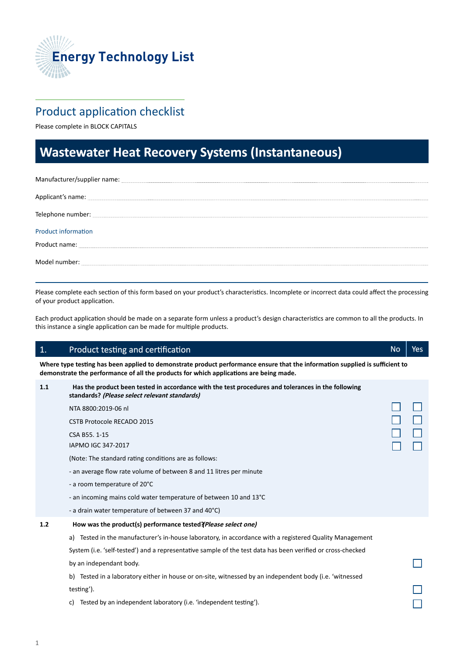

## Product application checklist

Please complete in BLOCK CAPITALS

# **Wastewater Heat Recovery Systems (Instantaneous) (Instantaneous)**

| Manufacturer/supplier name: contract to the contract of the contract of the contract of the contract of the contract of the contract of the contract of the contract of the contract of the contract of the contract of the co |
|--------------------------------------------------------------------------------------------------------------------------------------------------------------------------------------------------------------------------------|
| Applicant's name: experience and a series of the series of the series of the series of the series of the series of the series of the series of the series of the series of the series of the series of the series of the serie |
|                                                                                                                                                                                                                                |
| <b>Product information</b>                                                                                                                                                                                                     |
|                                                                                                                                                                                                                                |
| Model number: New York Changes and Model number:                                                                                                                                                                               |

Please complete each section of this form based on your product's characteristics. Incomplete or incorrect data could affect the processing of your product application.

Each product application should be made on a separate form unless a product's design characteristics are common to all the products. In this instance a single application can be made for multiple products.

> $\Box$ П

> > $\Box$

## a) Tested in the manufacturer's in-house laboratory, in accordance with a registered Quality Management 1. Product testing and certification certification certification certification certification numbers of  $\mathbb{R}^n$ **Where type testing has been applied to demonstrate product performance ensure that the information supplied is sufficient to demonstrate the performance of all the products for which applications are being made. 1.1 Has the product been tested in accordance with the test procedures and tolerances in the following standards? (Please select relevant standards)**  NTA 8800:2019-06 nl CSTB Protocole RECADO 2015 CSA B55. 1-15 IAPMO IGC 347-2017 (Note: The standard rating conditions are as follows: - an average flow rate volume of between 8 and 11 litres per minute - a room temperature of 20°C - an incoming mains cold water temperature of between 10 and 13°C - a drain water temperature of between 37 and 40°C) **1.2 How was the product(s) performance tested?** *Please select one)* System (i.e. 'self-tested') and a representative sample of the test data has been verified or cross-checked by an independant body. b) Tested in a laboratory either in house or on-site, witnessed by an independent body (i.e. 'witnessed

testing').

c) Tested by an independent laboratory (i.e. 'independent testing').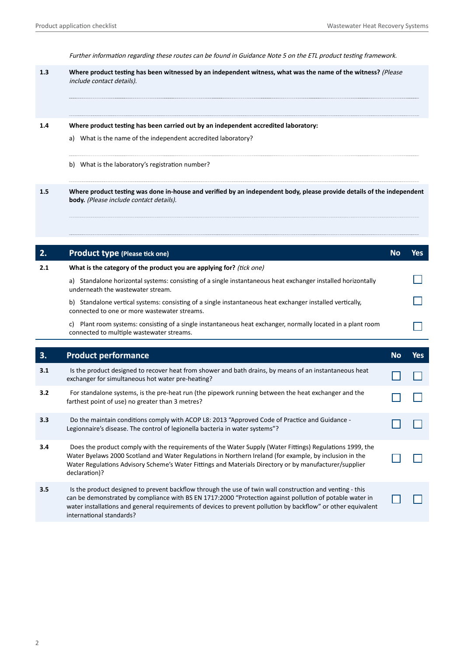Further information regarding these routes can be found in Guidance Note 5 on the ETL product testing framework.

| 1.3 | Where product testing has been witnessed by an independent witness, what was the name of the witness? (Please<br>include contact details).                                                                     |
|-----|----------------------------------------------------------------------------------------------------------------------------------------------------------------------------------------------------------------|
| 1.4 | Where product testing has been carried out by an independent accredited laboratory:<br>What is the name of the independent accredited laboratory?<br>a)<br>b)<br>What is the laboratory's registration number? |
| 1.5 | Where product testing was done in-house and verified by an independent body, please provide details of the independent<br>body. (Please include contact details).                                              |

| 2.  | <b>Product type (Please tick one)</b>                                                                                                                                                                                                                                                                                                                             | <b>No</b> | <b>Yes</b> |
|-----|-------------------------------------------------------------------------------------------------------------------------------------------------------------------------------------------------------------------------------------------------------------------------------------------------------------------------------------------------------------------|-----------|------------|
| 2.1 | What is the category of the product you are applying for? (tick one)                                                                                                                                                                                                                                                                                              |           |            |
|     | a) Standalone horizontal systems: consisting of a single instantaneous heat exchanger installed horizontally<br>underneath the wastewater stream.                                                                                                                                                                                                                 |           |            |
|     | b) Standalone vertical systems: consisting of a single instantaneous heat exchanger installed vertically,<br>connected to one or more wastewater streams.                                                                                                                                                                                                         |           |            |
|     | c) Plant room systems: consisting of a single instantaneous heat exchanger, normally located in a plant room<br>connected to multiple wastewater streams.                                                                                                                                                                                                         |           |            |
|     |                                                                                                                                                                                                                                                                                                                                                                   |           |            |
| 3.  | <b>Product performance</b>                                                                                                                                                                                                                                                                                                                                        | <b>No</b> | Yes        |
| 3.1 | Is the product designed to recover heat from shower and bath drains, by means of an instantaneous heat<br>exchanger for simultaneous hot water pre-heating?                                                                                                                                                                                                       |           |            |
| 3.2 | For standalone systems, is the pre-heat run (the pipework running between the heat exchanger and the<br>farthest point of use) no greater than 3 metres?                                                                                                                                                                                                          |           |            |
| 3.3 | Do the maintain conditions comply with ACOP L8: 2013 "Approved Code of Practice and Guidance -<br>Legionnaire's disease. The control of legionella bacteria in water systems"?                                                                                                                                                                                    |           |            |
| 3.4 | Does the product comply with the requirements of the Water Supply (Water Fittings) Regulations 1999, the<br>Water Byelaws 2000 Scotland and Water Regulations in Northern Ireland (for example, by inclusion in the<br>Water Regulations Advisory Scheme's Water Fittings and Materials Directory or by manufacturer/supplier<br>declaration)?                    |           |            |
| 3.5 | Is the product designed to prevent backflow through the use of twin wall construction and venting - this<br>can be demonstrated by compliance with BS EN 1717:2000 "Protection against pollution of potable water in<br>water installations and general requirements of devices to prevent pollution by backflow" or other equivalent<br>international standards? |           |            |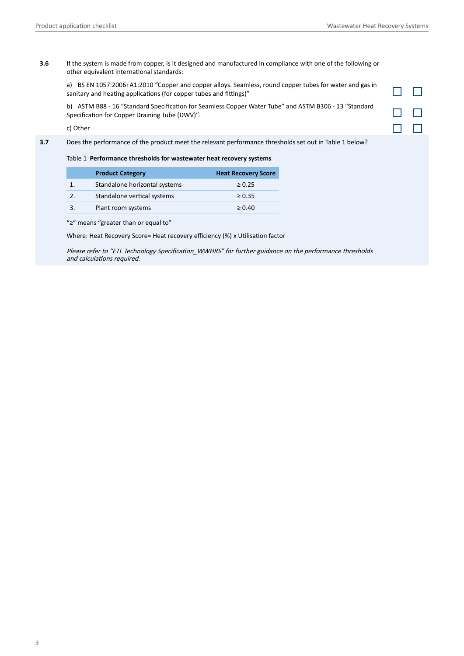$\Box$   $\Box$ 

 $\Box$ 

 $\Box$  $\Box$ 

**3.6** If the system is made from copper, is it designed and manufactured in compliance with one of the following or other equivalent international standards:

a) BS EN 1057:2006+A1:2010 "Copper and copper alloys. Seamless, round copper tubes for water and gas in sanitary and heating applications (for copper tubes and fittings)"

b) ASTM B88 - 16 "Standard Specification for Seamless Copper Water Tube" and ASTM B306 - 13 "Standard Specification for Copper Draining Tube (DWV)".

c) Other

**3.7** Does the performance of the product meet the relevant performance thresholds set out in Table 1 below?

Table 1 **Performance thresholds for wastewater heat recovery systems** 

| <b>Product Category</b>       | <b>Heat Recovery Score</b> |
|-------------------------------|----------------------------|
| Standalone horizontal systems | $\geq 0.25$                |
| Standalone vertical systems   | $\geq 0.35$                |
| Plant room systems            | $\geq 0.40$                |

"≥" means "greater than or equal to"

Where: Heat Recovery Score= Heat recovery efficiency (%) x Utilisation factor

Please refer to "ETL Technology Specification\_WWHRS" for further guidance on the performance thresholds and calculations required.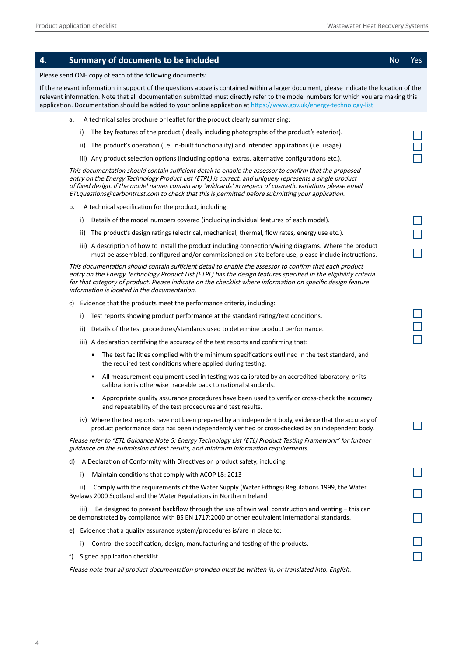| 4.                                                                                                                                                                                                                                                                                                                                                                                         |                                                                                                                                                                                                                                                                                                                                                                                                                                      |      | <b>Summary of documents to be included</b>                                                                                                                                                                                                                                                                                                                                                           | <b>No</b> | Yes |
|--------------------------------------------------------------------------------------------------------------------------------------------------------------------------------------------------------------------------------------------------------------------------------------------------------------------------------------------------------------------------------------------|--------------------------------------------------------------------------------------------------------------------------------------------------------------------------------------------------------------------------------------------------------------------------------------------------------------------------------------------------------------------------------------------------------------------------------------|------|------------------------------------------------------------------------------------------------------------------------------------------------------------------------------------------------------------------------------------------------------------------------------------------------------------------------------------------------------------------------------------------------------|-----------|-----|
|                                                                                                                                                                                                                                                                                                                                                                                            |                                                                                                                                                                                                                                                                                                                                                                                                                                      |      | Please send ONE copy of each of the following documents:                                                                                                                                                                                                                                                                                                                                             |           |     |
|                                                                                                                                                                                                                                                                                                                                                                                            |                                                                                                                                                                                                                                                                                                                                                                                                                                      |      | If the relevant information in support of the questions above is contained within a larger document, please indicate the location of the<br>relevant information. Note that all documentation submitted must directly refer to the model numbers for which you are making this<br>application. Documentation should be added to your online application at https://www.gov.uk/energy-technology-list |           |     |
|                                                                                                                                                                                                                                                                                                                                                                                            | a.                                                                                                                                                                                                                                                                                                                                                                                                                                   |      | A technical sales brochure or leaflet for the product clearly summarising:                                                                                                                                                                                                                                                                                                                           |           |     |
|                                                                                                                                                                                                                                                                                                                                                                                            |                                                                                                                                                                                                                                                                                                                                                                                                                                      | i)   | The key features of the product (ideally including photographs of the product's exterior).                                                                                                                                                                                                                                                                                                           |           |     |
|                                                                                                                                                                                                                                                                                                                                                                                            |                                                                                                                                                                                                                                                                                                                                                                                                                                      | ii)  | The product's operation (i.e. in-built functionality) and intended applications (i.e. usage).                                                                                                                                                                                                                                                                                                        |           |     |
|                                                                                                                                                                                                                                                                                                                                                                                            |                                                                                                                                                                                                                                                                                                                                                                                                                                      |      | iii) Any product selection options (including optional extras, alternative configurations etc.).                                                                                                                                                                                                                                                                                                     |           |     |
|                                                                                                                                                                                                                                                                                                                                                                                            | This documentation should contain sufficient detail to enable the assessor to confirm that the proposed<br>entry on the Energy Technology Product List (ETPL) is correct, and uniquely represents a single product<br>of fixed design. If the model names contain any 'wildcards' in respect of cosmetic variations please email<br>ETLquestions@carbontrust.com to check that this is permitted before submitting your application. |      |                                                                                                                                                                                                                                                                                                                                                                                                      |           |     |
|                                                                                                                                                                                                                                                                                                                                                                                            | b.                                                                                                                                                                                                                                                                                                                                                                                                                                   |      | A technical specification for the product, including:                                                                                                                                                                                                                                                                                                                                                |           |     |
|                                                                                                                                                                                                                                                                                                                                                                                            |                                                                                                                                                                                                                                                                                                                                                                                                                                      | i)   | Details of the model numbers covered (including individual features of each model).                                                                                                                                                                                                                                                                                                                  |           |     |
|                                                                                                                                                                                                                                                                                                                                                                                            |                                                                                                                                                                                                                                                                                                                                                                                                                                      | ii)  | The product's design ratings (electrical, mechanical, thermal, flow rates, energy use etc.).                                                                                                                                                                                                                                                                                                         |           |     |
|                                                                                                                                                                                                                                                                                                                                                                                            |                                                                                                                                                                                                                                                                                                                                                                                                                                      |      | iii) A description of how to install the product including connection/wiring diagrams. Where the product<br>must be assembled, configured and/or commissioned on site before use, please include instructions.                                                                                                                                                                                       |           |     |
| This documentation should contain sufficient detail to enable the assessor to confirm that each product<br>entry on the Energy Technology Product List (ETPL) has the design features specified in the eligibility criteria<br>for that category of product. Please indicate on the checklist where information on specific design feature<br>information is located in the documentation. |                                                                                                                                                                                                                                                                                                                                                                                                                                      |      |                                                                                                                                                                                                                                                                                                                                                                                                      |           |     |
|                                                                                                                                                                                                                                                                                                                                                                                            | C)                                                                                                                                                                                                                                                                                                                                                                                                                                   |      | Evidence that the products meet the performance criteria, including:                                                                                                                                                                                                                                                                                                                                 |           |     |
|                                                                                                                                                                                                                                                                                                                                                                                            |                                                                                                                                                                                                                                                                                                                                                                                                                                      | i)   | Test reports showing product performance at the standard rating/test conditions.                                                                                                                                                                                                                                                                                                                     |           |     |
|                                                                                                                                                                                                                                                                                                                                                                                            |                                                                                                                                                                                                                                                                                                                                                                                                                                      | ii)  | Details of the test procedures/standards used to determine product performance.                                                                                                                                                                                                                                                                                                                      |           |     |
|                                                                                                                                                                                                                                                                                                                                                                                            |                                                                                                                                                                                                                                                                                                                                                                                                                                      |      | iii) A declaration certifying the accuracy of the test reports and confirming that:                                                                                                                                                                                                                                                                                                                  |           |     |
|                                                                                                                                                                                                                                                                                                                                                                                            |                                                                                                                                                                                                                                                                                                                                                                                                                                      |      | The test facilities complied with the minimum specifications outlined in the test standard, and<br>$\bullet$<br>the required test conditions where applied during testing.                                                                                                                                                                                                                           |           |     |
|                                                                                                                                                                                                                                                                                                                                                                                            |                                                                                                                                                                                                                                                                                                                                                                                                                                      |      | All measurement equipment used in testing was calibrated by an accredited laboratory, or its<br>٠<br>calibration is otherwise traceable back to national standards.                                                                                                                                                                                                                                  |           |     |
|                                                                                                                                                                                                                                                                                                                                                                                            |                                                                                                                                                                                                                                                                                                                                                                                                                                      |      | Appropriate quality assurance procedures have been used to verify or cross-check the accuracy<br>and repeatability of the test procedures and test results.                                                                                                                                                                                                                                          |           |     |
|                                                                                                                                                                                                                                                                                                                                                                                            |                                                                                                                                                                                                                                                                                                                                                                                                                                      |      | iv) Where the test reports have not been prepared by an independent body, evidence that the accuracy of<br>product performance data has been independently verified or cross-checked by an independent body.                                                                                                                                                                                         |           |     |
|                                                                                                                                                                                                                                                                                                                                                                                            |                                                                                                                                                                                                                                                                                                                                                                                                                                      |      | Please refer to "ETL Guidance Note 5: Energy Technology List (ETL) Product Testing Framework" for further<br>guidance on the submission of test results, and minimum information requirements.                                                                                                                                                                                                       |           |     |
|                                                                                                                                                                                                                                                                                                                                                                                            | d)                                                                                                                                                                                                                                                                                                                                                                                                                                   |      | A Declaration of Conformity with Directives on product safety, including:                                                                                                                                                                                                                                                                                                                            |           |     |
|                                                                                                                                                                                                                                                                                                                                                                                            |                                                                                                                                                                                                                                                                                                                                                                                                                                      | i)   | Maintain conditions that comply with ACOP L8: 2013                                                                                                                                                                                                                                                                                                                                                   |           |     |
|                                                                                                                                                                                                                                                                                                                                                                                            |                                                                                                                                                                                                                                                                                                                                                                                                                                      | ii)  | Comply with the requirements of the Water Supply (Water Fittings) Regulations 1999, the Water<br>Byelaws 2000 Scotland and the Water Regulations in Northern Ireland                                                                                                                                                                                                                                 |           |     |
|                                                                                                                                                                                                                                                                                                                                                                                            |                                                                                                                                                                                                                                                                                                                                                                                                                                      | iii) | Be designed to prevent backflow through the use of twin wall construction and venting - this can<br>be demonstrated by compliance with BS EN 1717:2000 or other equivalent international standards.                                                                                                                                                                                                  |           |     |
|                                                                                                                                                                                                                                                                                                                                                                                            | e)                                                                                                                                                                                                                                                                                                                                                                                                                                   |      | Evidence that a quality assurance system/procedures is/are in place to:                                                                                                                                                                                                                                                                                                                              |           |     |
|                                                                                                                                                                                                                                                                                                                                                                                            |                                                                                                                                                                                                                                                                                                                                                                                                                                      | i)   | Control the specification, design, manufacturing and testing of the products.                                                                                                                                                                                                                                                                                                                        |           |     |
|                                                                                                                                                                                                                                                                                                                                                                                            |                                                                                                                                                                                                                                                                                                                                                                                                                                      |      | f) Signed application checklist                                                                                                                                                                                                                                                                                                                                                                      |           |     |

Please note that all product documentation provided must be written in, or translated into, English.